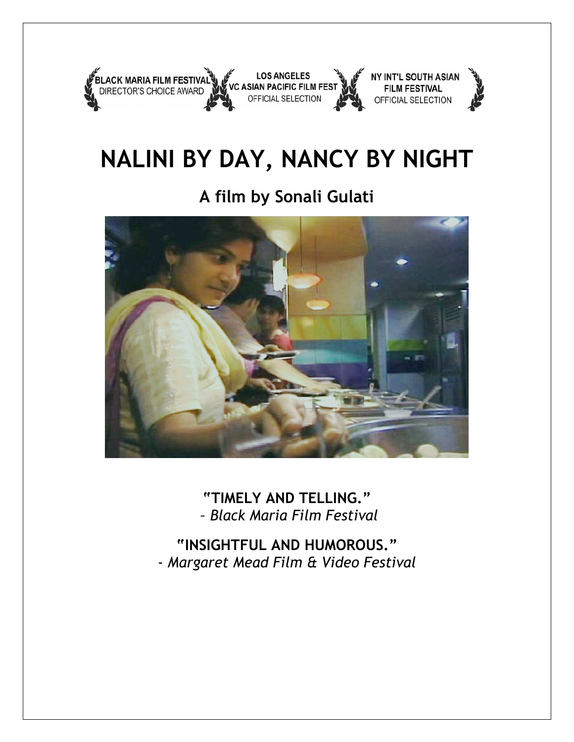

# **NALINI BY DAY, NANCY BY NIGHT**

## **A film by Sonali Gulati**



**"TIMELY AND TELLING."** *– Black Maria Film Festival*

**"INSIGHTFUL AND HUMOROUS."** - *Margaret Mead Film & Video Festival*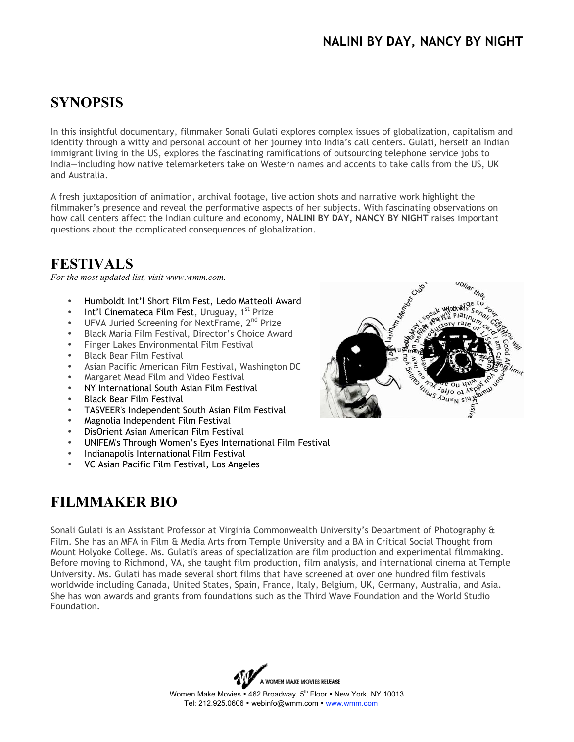#### **NALINI BY DAY, NANCY BY NIGHT**

### **SYNOPSIS**

In this insightful documentary, filmmaker Sonali Gulati explores complex issues of globalization, capitalism and identity through a witty and personal account of her journey into India's call centers. Gulati, herself an Indian immigrant living in the US, explores the fascinating ramifications of outsourcing telephone service jobs to India—including how native telemarketers take on Western names and accents to take calls from the US, UK and Australia.

A fresh juxtaposition of animation, archival footage, live action shots and narrative work highlight the filmmaker's presence and reveal the performative aspects of her subjects. With fascinating observations on how call centers affect the Indian culture and economy, **NALINI BY DAY, NANCY BY NIGHT** raises important questions about the complicated consequences of globalization.

#### **FESTIVALS**

*For the most updated list, visit www.wmm.com.*

- Humboldt Int'l Short Film Fest, Ledo Matteoli Award
- Int'l Cinemateca Film Fest, Uruguay, 1<sup>st</sup> Prize
- UFVA Juried Screening for NextFrame, 2<sup>nd</sup> Prize
- Black Maria Film Festival, Director's Choice Award
- Finger Lakes Environmental Film Festival
- Black Bear Film Festival
- Asian Pacific American Film Festival, Washington DC
- Margaret Mead Film and Video Festival
- NY International South Asian Film Festival
- Black Bear Film Festival
- TASVEER's Independent South Asian Film Festival
- Magnolia Independent Film Festival
- DisOrient Asian American Film Festival
- UNIFEM's Through Women's Eyes International Film Festival
- Indianapolis International Film Festival
- VC Asian Pacific Film Festival, Los Angeles

#### FILMMAKER BIO

Sonali Gulati is an Assistant Professor at Virginia Commonwealth University's Department of Photography & Film. She has an MFA in Film & Media Arts from Temple University and a BA in Critical Social Thought from Mount Holyoke College. Ms. Gulati's areas of specialization are film production and experimental filmmaking. Before moving to Richmond, VA, she taught film production, film analysis, and international cinema at Temple University. Ms. Gulati has made several short films that have screened at over one hundred film festivals worldwide including Canada, United States, Spain, France, Italy, Belgium, UK, Germany, Australia, and Asia. She has won awards and grants from foundations such as the Third Wave Foundation and the World Studio Foundation.



Women Make Movies • 462 Broadway, 5<sup>th</sup> Floor • New York, NY 10013 Tel: 212.925.0606 • webinfo@wmm.com • www.wmm.com